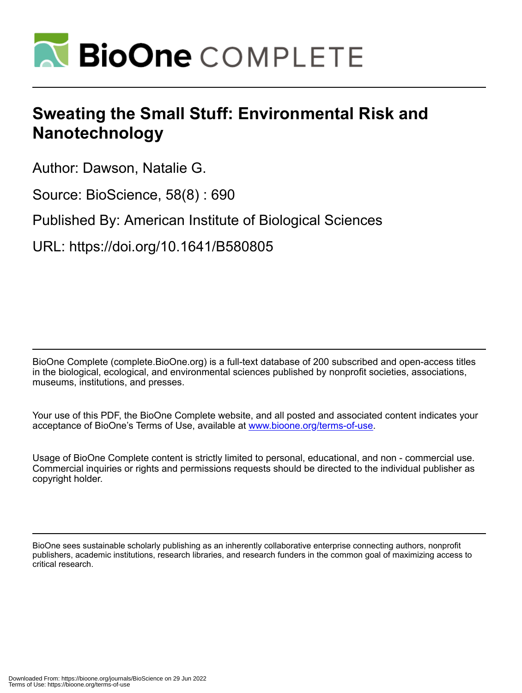

## **Sweating the Small Stuff: Environmental Risk and Nanotechnology**

Author: Dawson, Natalie G.

Source: BioScience, 58(8) : 690

Published By: American Institute of Biological Sciences

URL: https://doi.org/10.1641/B580805

BioOne Complete (complete.BioOne.org) is a full-text database of 200 subscribed and open-access titles in the biological, ecological, and environmental sciences published by nonprofit societies, associations, museums, institutions, and presses.

Your use of this PDF, the BioOne Complete website, and all posted and associated content indicates your acceptance of BioOne's Terms of Use, available at www.bioone.org/terms-of-use.

Usage of BioOne Complete content is strictly limited to personal, educational, and non - commercial use. Commercial inquiries or rights and permissions requests should be directed to the individual publisher as copyright holder.

BioOne sees sustainable scholarly publishing as an inherently collaborative enterprise connecting authors, nonprofit publishers, academic institutions, research libraries, and research funders in the common goal of maximizing access to critical research.